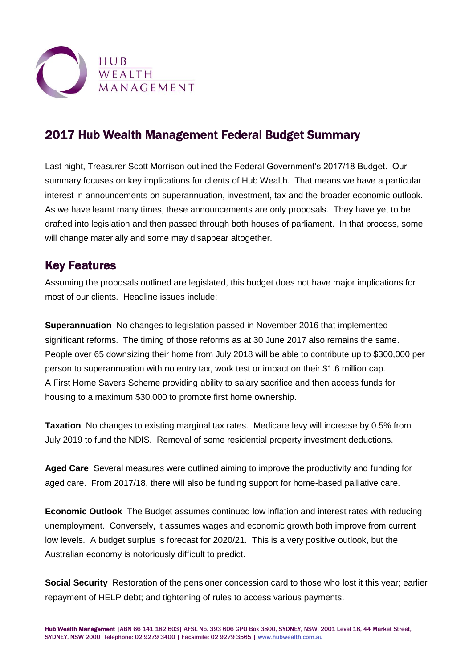

## 2017 Hub Wealth Management Federal Budget Summary

Last night, Treasurer Scott Morrison outlined the Federal Government's 2017/18 Budget. Our summary focuses on key implications for clients of Hub Wealth. That means we have a particular interest in announcements on superannuation, investment, tax and the broader economic outlook. As we have learnt many times, these announcements are only proposals. They have yet to be drafted into legislation and then passed through both houses of parliament. In that process, some will change materially and some may disappear altogether.

## Key Features

Assuming the proposals outlined are legislated, this budget does not have major implications for most of our clients. Headline issues include:

**Superannuation** No changes to legislation passed in November 2016 that implemented significant reforms. The timing of those reforms as at 30 June 2017 also remains the same. People over 65 downsizing their home from July 2018 will be able to contribute up to \$300,000 per person to superannuation with no entry tax, work test or impact on their \$1.6 million cap. A First Home Savers Scheme providing ability to salary sacrifice and then access funds for housing to a maximum \$30,000 to promote first home ownership.

**Taxation** No changes to existing marginal tax rates. Medicare levy will increase by 0.5% from July 2019 to fund the NDIS. Removal of some residential property investment deductions.

**Aged Care** Several measures were outlined aiming to improve the productivity and funding for aged care. From 2017/18, there will also be funding support for home-based palliative care.

**Economic Outlook** The Budget assumes continued low inflation and interest rates with reducing unemployment. Conversely, it assumes wages and economic growth both improve from current low levels. A budget surplus is forecast for 2020/21. This is a very positive outlook, but the Australian economy is notoriously difficult to predict.

**Social Security** Restoration of the pensioner concession card to those who lost it this year; earlier repayment of HELP debt; and tightening of rules to access various payments.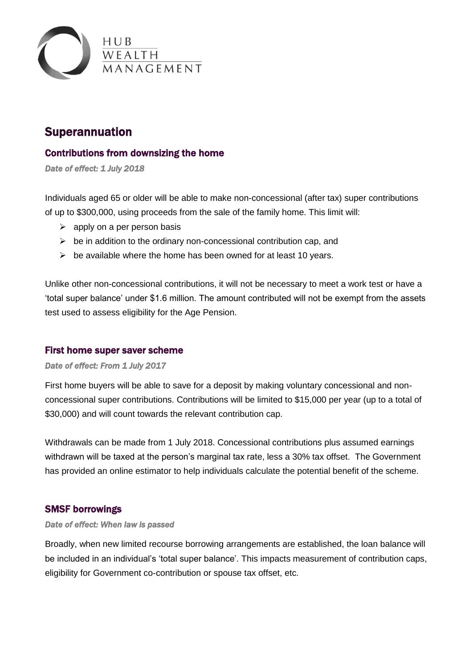

## Superannuation

## Contributions from downsizing the home

*Date of effect: 1 July 2018* 

Individuals aged 65 or older will be able to make non-concessional (after tax) super contributions of up to \$300,000, using proceeds from the sale of the family home. This limit will:

- $\triangleright$  apply on a per person basis
- $\triangleright$  be in addition to the ordinary non-concessional contribution cap, and
- $\triangleright$  be available where the home has been owned for at least 10 years.

Unlike other non-concessional contributions, it will not be necessary to meet a work test or have a 'total super balance' under \$1.6 million. The amount contributed will not be exempt from the assets test used to assess eligibility for the Age Pension.

### First home super saver scheme

#### *Date of effect: From 1 July 2017*

First home buyers will be able to save for a deposit by making voluntary concessional and nonconcessional super contributions. Contributions will be limited to \$15,000 per year (up to a total of \$30,000) and will count towards the relevant contribution cap.

Withdrawals can be made from 1 July 2018. Concessional contributions plus assumed earnings withdrawn will be taxed at the person's marginal tax rate, less a 30% tax offset. The Government has provided an [online estimator](http://www.budget.gov.au/estimator/) to help individuals calculate the potential benefit of the scheme.

### SMSF borrowings

#### *Date of effect: When law is passed*

Broadly, when new limited recourse borrowing arrangements are established, the loan balance will be included in an individual's 'total super balance'. This impacts measurement of contribution caps, eligibility for Government co-contribution or spouse tax offset, etc.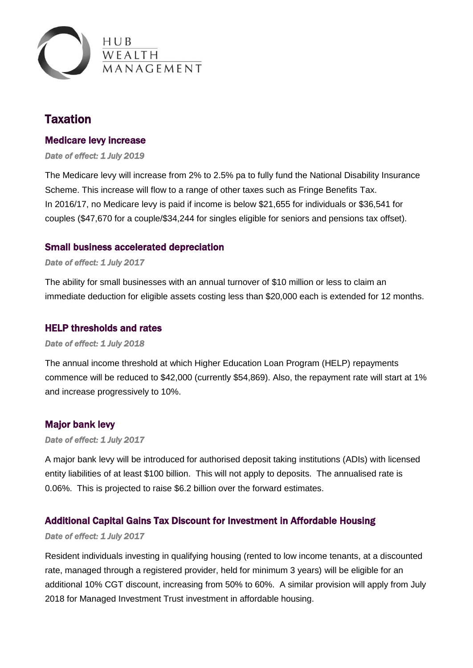

## **Taxation**

### Medicare levy increase

*Date of effect: 1 July 2019* 

The Medicare levy will increase from 2% to 2.5% pa to fully fund the National Disability Insurance Scheme. This increase will flow to a range of other taxes such as Fringe Benefits Tax. In 2016/17, no Medicare levy is paid if income is below \$21,655 for individuals or \$36,541 for couples (\$47,670 for a couple/\$34,244 for singles eligible for seniors and pensions tax offset).

### Small business accelerated depreciation

#### *Date of effect: 1 July 2017*

The ability for small businesses with an annual turnover of \$10 million or less to claim an immediate deduction for eligible assets costing less than \$20,000 each is extended for 12 months.

#### HELP thresholds and rates

#### *Date of effect: 1 July 2018*

The annual income threshold at which Higher Education Loan Program (HELP) repayments commence will be reduced to \$42,000 (currently \$54,869). Also, the repayment rate will start at 1% and increase progressively to 10%.

### Major bank levy

#### *Date of effect: 1 July 2017*

A major bank levy will be introduced for authorised deposit taking institutions (ADIs) with licensed entity liabilities of at least \$100 billion. This will not apply to deposits. The annualised rate is 0.06%. This is projected to raise \$6.2 billion over the forward estimates.

## Additional Capital Gains Tax Discount for Investment in Affordable Housing

#### *Date of effect: 1 July 2017*

Resident individuals investing in qualifying housing (rented to low income tenants, at a discounted rate, managed through a registered provider, held for minimum 3 years) will be eligible for an additional 10% CGT discount, increasing from 50% to 60%. A similar provision will apply from July 2018 for Managed Investment Trust investment in affordable housing.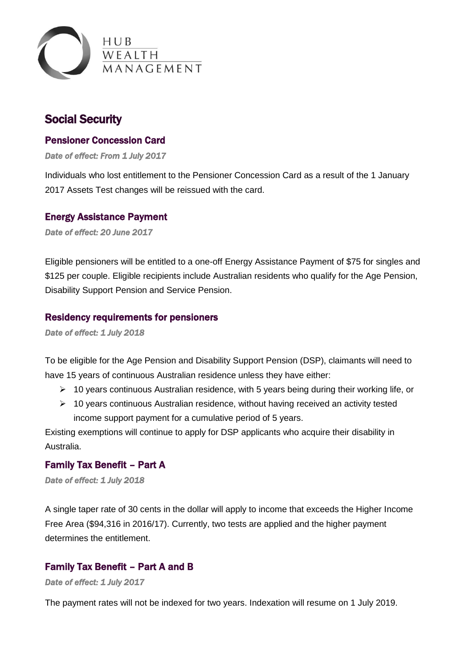

## Social Security

### Pensioner Concession Card

*Date of effect: From 1 July 2017* 

Individuals who lost entitlement to the Pensioner Concession Card as a result of the 1 January 2017 Assets Test changes will be reissued with the card.

#### Energy Assistance Payment

*Date of effect: 20 June 2017* 

Eligible pensioners will be entitled to a one-off Energy Assistance Payment of \$75 for singles and \$125 per couple. Eligible recipients include Australian residents who qualify for the Age Pension, Disability Support Pension and Service Pension.

#### Residency requirements for pensioners

*Date of effect: 1 July 2018* 

To be eligible for the Age Pension and Disability Support Pension (DSP), claimants will need to have 15 years of continuous Australian residence unless they have either:

- $\geq 10$  years continuous Australian residence, with 5 years being during their working life, or
- $\geq 10$  years continuous Australian residence, without having received an activity tested income support payment for a cumulative period of 5 years.

Existing exemptions will continue to apply for DSP applicants who acquire their disability in Australia.

## Family Tax Benefit – Part A

*Date of effect: 1 July 2018* 

A single taper rate of 30 cents in the dollar will apply to income that exceeds the Higher Income Free Area (\$94,316 in 2016/17). Currently, two tests are applied and the higher payment determines the entitlement.

## Family Tax Benefit – Part A and B

*Date of effect: 1 July 2017* 

The payment rates will not be indexed for two years. Indexation will resume on 1 July 2019.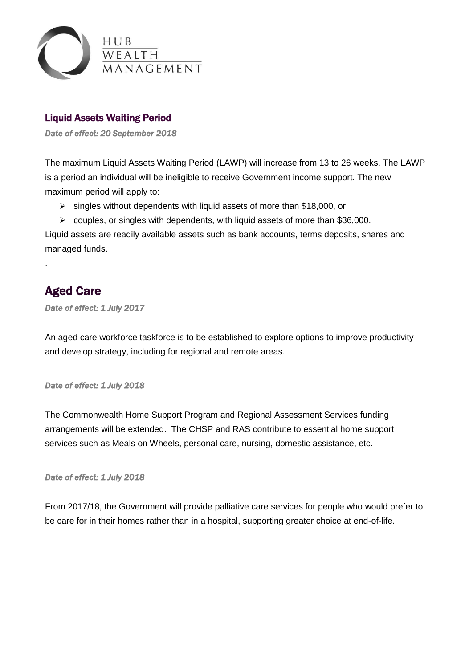

## Liquid Assets Waiting Period

*Date of effect: 20 September 2018* 

The maximum Liquid Assets Waiting Period (LAWP) will increase from 13 to 26 weeks. The LAWP is a period an individual will be ineligible to receive Government income support. The new maximum period will apply to:

- $\triangleright$  singles without dependents with liquid assets of more than \$18,000, or
- $\triangleright$  couples, or singles with dependents, with liquid assets of more than \$36,000.

Liquid assets are readily available assets such as bank accounts, terms deposits, shares and managed funds.

# Aged Care

.

*Date of effect: 1 July 2017* 

An aged care workforce taskforce is to be established to explore options to improve productivity and develop strategy, including for regional and remote areas.

### *Date of effect: 1 July 2018*

The Commonwealth Home Support Program and Regional Assessment Services funding arrangements will be extended. The CHSP and RAS contribute to essential home support services such as Meals on Wheels, personal care, nursing, domestic assistance, etc.

*Date of effect: 1 July 2018* 

From 2017/18, the Government will provide palliative care services for people who would prefer to be care for in their homes rather than in a hospital, supporting greater choice at end-of-life.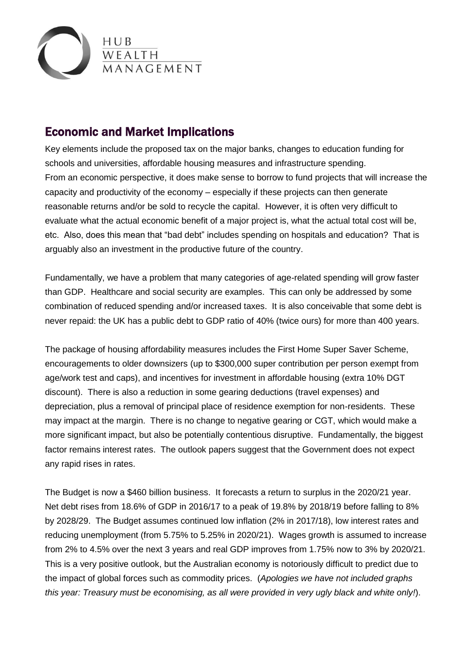

## Economic and Market Implications

Key elements include the proposed tax on the major banks, changes to education funding for schools and universities, affordable housing measures and infrastructure spending. From an economic perspective, it does make sense to borrow to fund projects that will increase the capacity and productivity of the economy – especially if these projects can then generate reasonable returns and/or be sold to recycle the capital. However, it is often very difficult to evaluate what the actual economic benefit of a major project is, what the actual total cost will be, etc. Also, does this mean that "bad debt" includes spending on hospitals and education? That is arguably also an investment in the productive future of the country.

Fundamentally, we have a problem that many categories of age-related spending will grow faster than GDP. Healthcare and social security are examples. This can only be addressed by some combination of reduced spending and/or increased taxes. It is also conceivable that some debt is never repaid: the UK has a public debt to GDP ratio of 40% (twice ours) for more than 400 years.

The package of housing affordability measures includes the First Home Super Saver Scheme, encouragements to older downsizers (up to \$300,000 super contribution per person exempt from age/work test and caps), and incentives for investment in affordable housing (extra 10% DGT discount). There is also a reduction in some gearing deductions (travel expenses) and depreciation, plus a removal of principal place of residence exemption for non-residents. These may impact at the margin. There is no change to negative gearing or CGT, which would make a more significant impact, but also be potentially contentious disruptive. Fundamentally, the biggest factor remains interest rates. The outlook papers suggest that the Government does not expect any rapid rises in rates.

The Budget is now a \$460 billion business. It forecasts a return to surplus in the 2020/21 year. Net debt rises from 18.6% of GDP in 2016/17 to a peak of 19.8% by 2018/19 before falling to 8% by 2028/29. The Budget assumes continued low inflation (2% in 2017/18), low interest rates and reducing unemployment (from 5.75% to 5.25% in 2020/21). Wages growth is assumed to increase from 2% to 4.5% over the next 3 years and real GDP improves from 1.75% now to 3% by 2020/21. This is a very positive outlook, but the Australian economy is notoriously difficult to predict due to the impact of global forces such as commodity prices. (*Apologies we have not included graphs this year: Treasury must be economising, as all were provided in very ugly black and white only!*).